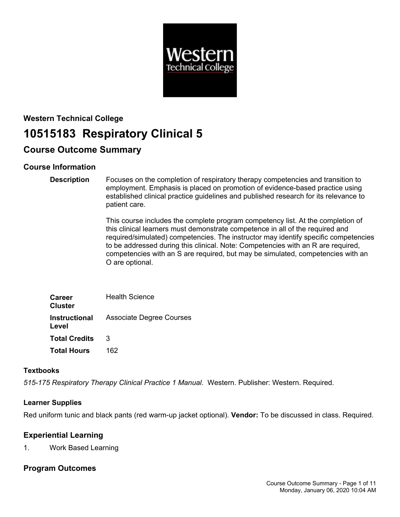

# **Western Technical College 10515183 Respiratory Clinical 5**

## **Course Outcome Summary**

## **Course Information**

#### **Description** Focuses on the completion of respiratory therapy competencies and transition to employment. Emphasis is placed on promotion of evidence-based practice using established clinical practice guidelines and published research for its relevance to patient care.

This course includes the complete program competency list. At the completion of this clinical learners must demonstrate competence in all of the required and required/simulated) competencies. The instructor may identify specific competencies to be addressed during this clinical. Note: Competencies with an R are required, competencies with an S are required, but may be simulated, competencies with an O are optional.

| <b>Career</b><br>Cluster | <b>Health Science</b>                         |
|--------------------------|-----------------------------------------------|
| Level                    | <b>Instructional</b> Associate Degree Courses |
| <b>Total Credits</b>     | 3                                             |
| <b>Total Hours</b>       | 162                                           |

## **Textbooks**

*515-175 Respiratory Therapy Clinical Practice 1 Manual*. Western. Publisher: Western. Required.

## **Learner Supplies**

Red uniform tunic and black pants (red warm-up jacket optional). **Vendor:** To be discussed in class. Required.

## **Experiential Learning**

1. Work Based Learning

## **Program Outcomes**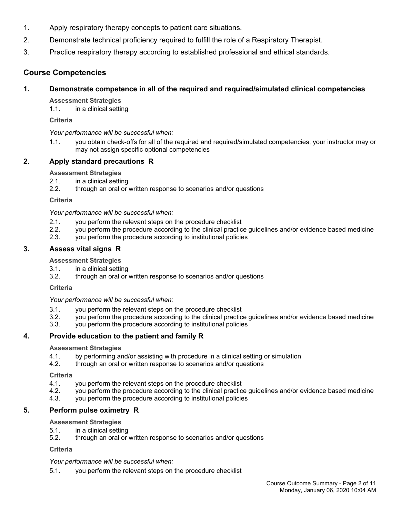- 1. Apply respiratory therapy concepts to patient care situations.
- 2. Demonstrate technical proficiency required to fulfill the role of a Respiratory Therapist.
- 3. Practice respiratory therapy according to established professional and ethical standards.

## **Course Competencies**

## **1. Demonstrate competence in all of the required and required/simulated clinical competencies**

**Assessment Strategies**

1.1. in a clinical setting

**Criteria**

## *Your performance will be successful when:*

1.1. you obtain check-offs for all of the required and required/simulated competencies; your instructor may or may not assign specific optional competencies

## **2. Apply standard precautions R**

## **Assessment Strategies**

- 2.1. in a clinical setting
- 2.2. through an oral or written response to scenarios and/or questions

**Criteria**

*Your performance will be successful when:*

- 2.1. you perform the relevant steps on the procedure checklist
- 2.2. you perform the procedure according to the clinical practice guidelines and/or evidence based medicine
- 2.3. you perform the procedure according to institutional policies

## **3. Assess vital signs R**

## **Assessment Strategies**

- 3.1. in a clinical setting
- 3.2. through an oral or written response to scenarios and/or questions

**Criteria**

*Your performance will be successful when:*

- 3.1. you perform the relevant steps on the procedure checklist
- 3.2. you perform the procedure according to the clinical practice guidelines and/or evidence based medicine
- 3.3. you perform the procedure according to institutional policies

## **4. Provide education to the patient and family R**

## **Assessment Strategies**

- 4.1. by performing and/or assisting with procedure in a clinical setting or simulation
- 4.2. through an oral or written response to scenarios and/or questions

**Criteria**

- 4.1. you perform the relevant steps on the procedure checklist
- 4.2. you perform the procedure according to the clinical practice guidelines and/or evidence based medicine
- 4.3. you perform the procedure according to institutional policies

## **5. Perform pulse oximetry R**

## **Assessment Strategies**

- 5.1. in a clinical setting
- 5.2. through an oral or written response to scenarios and/or questions

**Criteria**

*Your performance will be successful when:*

5.1. you perform the relevant steps on the procedure checklist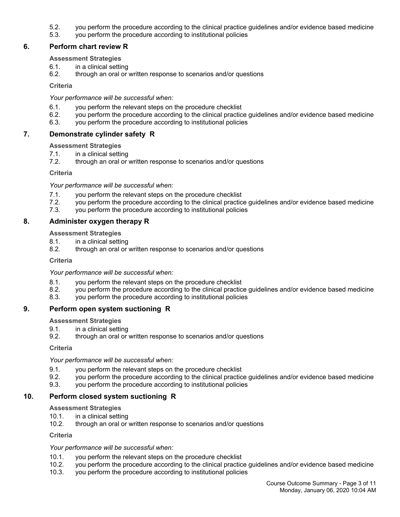- 5.2. you perform the procedure according to the clinical practice guidelines and/or evidence based medicine
- 5.3. you perform the procedure according to institutional policies

## **6. Perform chart review R**

#### **Assessment Strategies**

- 6.1. in a clinical setting
- 6.2. through an oral or written response to scenarios and/or questions

**Criteria**

#### *Your performance will be successful when:*

- 6.1. you perform the relevant steps on the procedure checklist
- 6.2. you perform the procedure according to the clinical practice guidelines and/or evidence based medicine
- 6.3. you perform the procedure according to institutional policies

## **7. Demonstrate cylinder safety R**

#### **Assessment Strategies**

- 7.1. in a clinical setting<br>7.2. through an oral or
- through an oral or written response to scenarios and/or questions

**Criteria**

*Your performance will be successful when:*

- 7.1. you perform the relevant steps on the procedure checklist
- 7.2. you perform the procedure according to the clinical practice guidelines and/or evidence based medicine
- 7.3. you perform the procedure according to institutional policies

## **8. Administer oxygen therapy R**

#### **Assessment Strategies**

- 8.1. in a clinical setting
- 8.2. through an oral or written response to scenarios and/or questions

**Criteria**

*Your performance will be successful when:*

- 8.1. you perform the relevant steps on the procedure checklist
- 8.2. you perform the procedure according to the clinical practice guidelines and/or evidence based medicine
- 8.3. you perform the procedure according to institutional policies

## **9. Perform open system suctioning R**

#### **Assessment Strategies**

- 9.1. in a clinical setting
- 9.2. through an oral or written response to scenarios and/or questions

**Criteria**

*Your performance will be successful when:*

- 9.1. you perform the relevant steps on the procedure checklist
- 9.2. you perform the procedure according to the clinical practice guidelines and/or evidence based medicine
- 9.3. you perform the procedure according to institutional policies

## **10. Perform closed system suctioning R**

#### **Assessment Strategies**

- 10.1. in a clinical setting
- 10.2. through an oral or written response to scenarios and/or questions

**Criteria**

#### *Your performance will be successful when:*

- 10.1. you perform the relevant steps on the procedure checklist
- 10.2. you perform the procedure according to the clinical practice guidelines and/or evidence based medicine
- 10.3. you perform the procedure according to institutional policies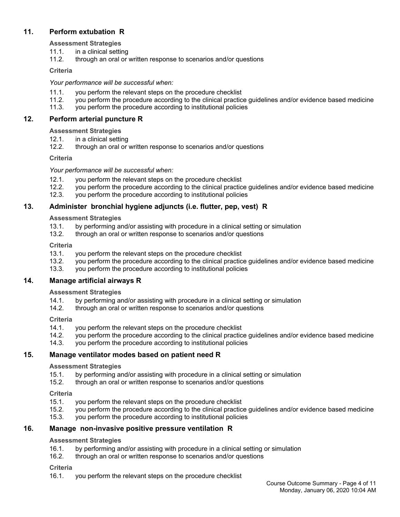## **11. Perform extubation R**

**Assessment Strategies**

- 11.1. in a clinical setting
- 11.2. through an oral or written response to scenarios and/or questions

## **Criteria**

## *Your performance will be successful when:*

- 11.1. you perform the relevant steps on the procedure checklist
- 11.2. you perform the procedure according to the clinical practice guidelines and/or evidence based medicine
- 11.3. you perform the procedure according to institutional policies

## **12. Perform arterial puncture R**

## **Assessment Strategies**

- 12.1. in a clinical setting
- 12.2. through an oral or written response to scenarios and/or questions

## **Criteria**

## *Your performance will be successful when:*

- 12.1. you perform the relevant steps on the procedure checklist 12.2. vou perform the procedure according to the clinical practic
- 12.2. you perform the procedure according to the clinical practice guidelines and/or evidence based medicine
- 12.3. you perform the procedure according to institutional policies

## **13. Administer bronchial hygiene adjuncts (i.e. flutter, pep, vest) R**

## **Assessment Strategies**

- 13.1. by performing and/or assisting with procedure in a clinical setting or simulation
- 13.2. through an oral or written response to scenarios and/or questions

## **Criteria**

- 13.1. you perform the relevant steps on the procedure checklist
- 13.2. you perform the procedure according to the clinical practice guidelines and/or evidence based medicine
- 13.3. you perform the procedure according to institutional policies

## **14. Manage artificial airways R**

## **Assessment Strategies**

- 14.1. by performing and/or assisting with procedure in a clinical setting or simulation
- 14.2. through an oral or written response to scenarios and/or questions

## **Criteria**

- 14.1. you perform the relevant steps on the procedure checklist
- 14.2. you perform the procedure according to the clinical practice guidelines and/or evidence based medicine
- 14.3. you perform the procedure according to institutional policies

## **15. Manage ventilator modes based on patient need R**

## **Assessment Strategies**

- 15.1. by performing and/or assisting with procedure in a clinical setting or simulation<br>15.2. through an oral or written response to scenarios and/or questions
- through an oral or written response to scenarios and/or questions

## **Criteria**

- 15.1. you perform the relevant steps on the procedure checklist
- 15.2. you perform the procedure according to the clinical practice guidelines and/or evidence based medicine
- 15.3. you perform the procedure according to institutional policies

## **16. Manage non-invasive positive pressure ventilation R**

## **Assessment Strategies**

- 16.1. by performing and/or assisting with procedure in a clinical setting or simulation
- 16.2. through an oral or written response to scenarios and/or questions

## **Criteria**

16.1. you perform the relevant steps on the procedure checklist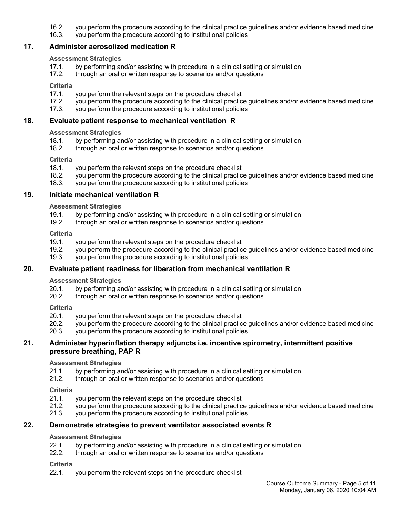- 16.2. you perform the procedure according to the clinical practice guidelines and/or evidence based medicine
- 16.3. you perform the procedure according to institutional policies

## **17. Administer aerosolized medication R**

#### **Assessment Strategies**

- 17.1. by performing and/or assisting with procedure in a clinical setting or simulation
- 17.2. through an oral or written response to scenarios and/or questions

#### **Criteria**

- 17.1. you perform the relevant steps on the procedure checklist
- 17.2. you perform the procedure according to the clinical practice guidelines and/or evidence based medicine
- 17.3. you perform the procedure according to institutional policies

#### **18. Evaluate patient response to mechanical ventilation R**

#### **Assessment Strategies**

- 18.1. by performing and/or assisting with procedure in a clinical setting or simulation
- 18.2. through an oral or written response to scenarios and/or questions

#### **Criteria**

- 18.1. you perform the relevant steps on the procedure checklist
- 18.2. you perform the procedure according to the clinical practice guidelines and/or evidence based medicine
- 18.3. you perform the procedure according to institutional policies

## **19. Initiate mechanical ventilation R**

**Assessment Strategies**

- 19.1. by performing and/or assisting with procedure in a clinical setting or simulation
- 19.2. through an oral or written response to scenarios and/or questions

#### **Criteria**

- 19.1. you perform the relevant steps on the procedure checklist
- 19.2. you perform the procedure according to the clinical practice guidelines and/or evidence based medicine
- 19.3. you perform the procedure according to institutional policies

## **20. Evaluate patient readiness for liberation from mechanical ventilation R**

**Assessment Strategies**

- 20.1. by performing and/or assisting with procedure in a clinical setting or simulation
- 20.2. through an oral or written response to scenarios and/or questions

**Criteria**

- 20.1. you perform the relevant steps on the procedure checklist
- 20.2. you perform the procedure according to the clinical practice guidelines and/or evidence based medicine
- 20.3. you perform the procedure according to institutional policies

#### **21. Administer hyperinflation therapy adjuncts i.e. incentive spirometry, intermittent positive pressure breathing, PAP R**

#### **Assessment Strategies**

- 21.1. by performing and/or assisting with procedure in a clinical setting or simulation
- 21.2. through an oral or written response to scenarios and/or questions

**Criteria**

- 21.1. you perform the relevant steps on the procedure checklist
- 21.2. you perform the procedure according to the clinical practice guidelines and/or evidence based medicine
- 21.3. you perform the procedure according to institutional policies

## **22. Demonstrate strategies to prevent ventilator associated events R**

#### **Assessment Strategies**

- 22.1. by performing and/or assisting with procedure in a clinical setting or simulation 22.2. through an oral or written response to scenarios and/or questions
- through an oral or written response to scenarios and/or questions

#### **Criteria**

22.1. you perform the relevant steps on the procedure checklist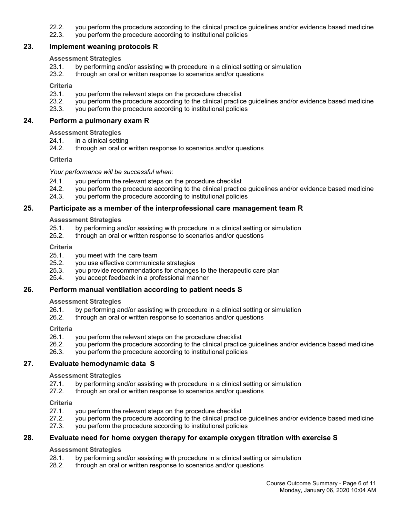- 22.2. you perform the procedure according to the clinical practice guidelines and/or evidence based medicine
- 22.3. you perform the procedure according to institutional policies

#### **23. Implement weaning protocols R**

#### **Assessment Strategies**

- 23.1. by performing and/or assisting with procedure in a clinical setting or simulation
- 23.2. through an oral or written response to scenarios and/or questions

#### **Criteria**

- 23.1. you perform the relevant steps on the procedure checklist
- 23.2. you perform the procedure according to the clinical practice guidelines and/or evidence based medicine
- 23.3. you perform the procedure according to institutional policies

#### **24. Perform a pulmonary exam R**

#### **Assessment Strategies**

- 24.1. in a clinical setting
- 24.2. through an oral or written response to scenarios and/or questions

#### **Criteria**

*Your performance will be successful when:*

- 24.1. you perform the relevant steps on the procedure checklist
- 24.2. you perform the procedure according to the clinical practice guidelines and/or evidence based medicine
- 24.3. you perform the procedure according to institutional policies

## **25. Participate as a member of the interprofessional care management team R**

#### **Assessment Strategies**

- 25.1. by performing and/or assisting with procedure in a clinical setting or simulation
- 25.2. through an oral or written response to scenarios and/or questions

#### **Criteria**

- 25.1. you meet with the care team
- 25.2. you use effective communicate strategies
- 25.3. you provide recommendations for changes to the therapeutic care plan
- 25.4. you accept feedback in a professional manner

## **26. Perform manual ventilation according to patient needs S**

#### **Assessment Strategies**

- 26.1. by performing and/or assisting with procedure in a clinical setting or simulation
- 26.2. through an oral or written response to scenarios and/or questions

#### **Criteria**

- 26.1. you perform the relevant steps on the procedure checklist
- 26.2. you perform the procedure according to the clinical practice guidelines and/or evidence based medicine
- 26.3. you perform the procedure according to institutional policies

## **27. Evaluate hemodynamic data S**

## **Assessment Strategies**

- 27.1. by performing and/or assisting with procedure in a clinical setting or simulation
- 27.2. through an oral or written response to scenarios and/or questions

#### **Criteria**

- 27.1. you perform the relevant steps on the procedure checklist
- 27.2. you perform the procedure according to the clinical practice guidelines and/or evidence based medicine
- 27.3. you perform the procedure according to institutional policies

## **28. Evaluate need for home oxygen therapy for example oxygen titration with exercise S**

#### **Assessment Strategies**

- 28.1. by performing and/or assisting with procedure in a clinical setting or simulation
- 28.2. through an oral or written response to scenarios and/or questions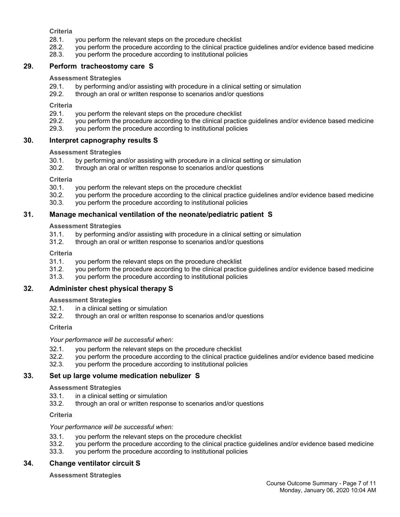**Criteria**

- 28.1. you perform the relevant steps on the procedure checklist
- 28.2. you perform the procedure according to the clinical practice guidelines and/or evidence based medicine
- 28.3. you perform the procedure according to institutional policies

## **29. Perform tracheostomy care S**

#### **Assessment Strategies**

- 29.1. by performing and/or assisting with procedure in a clinical setting or simulation
- 29.2. through an oral or written response to scenarios and/or questions

**Criteria**

- 29.1. you perform the relevant steps on the procedure checklist
- 29.2. you perform the procedure according to the clinical practice guidelines and/or evidence based medicine 29.3. vou perform the procedure according to institutional policies
- you perform the procedure according to institutional policies

## **30. Interpret capnography results S**

## **Assessment Strategies**

- 30.1. by performing and/or assisting with procedure in a clinical setting or simulation
- 30.2. through an oral or written response to scenarios and/or questions

**Criteria**

- 30.1. you perform the relevant steps on the procedure checklist
- 30.2. you perform the procedure according to the clinical practice guidelines and/or evidence based medicine
- 30.3. you perform the procedure according to institutional policies

## **31. Manage mechanical ventilation of the neonate/pediatric patient S**

**Assessment Strategies**

- 31.1. by performing and/or assisting with procedure in a clinical setting or simulation
- 31.2. through an oral or written response to scenarios and/or questions

**Criteria**

- 31.1. you perform the relevant steps on the procedure checklist
- 31.2. you perform the procedure according to the clinical practice guidelines and/or evidence based medicine
- 31.3. you perform the procedure according to institutional policies

## **32. Administer chest physical therapy S**

**Assessment Strategies**

- 32.1. in a clinical setting or simulation
- 32.2. through an oral or written response to scenarios and/or questions

**Criteria**

*Your performance will be successful when:*

- 32.1. you perform the relevant steps on the procedure checklist
- 32.2. you perform the procedure according to the clinical practice guidelines and/or evidence based medicine
- 32.3. you perform the procedure according to institutional policies

## **33. Set up large volume medication nebulizer S**

**Assessment Strategies**

- 33.1. in a clinical setting or simulation
- 33.2. through an oral or written response to scenarios and/or questions

**Criteria**

#### *Your performance will be successful when:*

- 33.1. you perform the relevant steps on the procedure checklist
- 33.2. you perform the procedure according to the clinical practice guidelines and/or evidence based medicine
- 33.3. you perform the procedure according to institutional policies

## **34. Change ventilator circuit S**

**Assessment Strategies**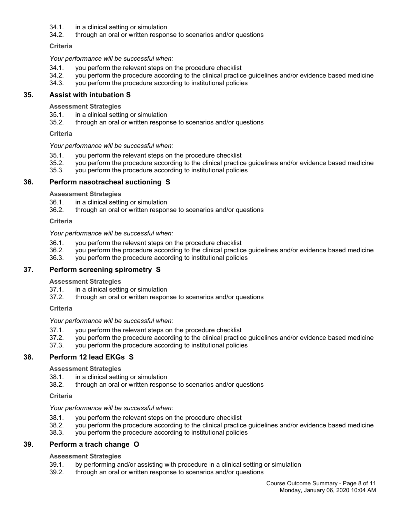- 34.1. in a clinical setting or simulation
- 34.2. through an oral or written response to scenarios and/or questions

**Criteria**

*Your performance will be successful when:*

- 34.1. you perform the relevant steps on the procedure checklist
- 34.2. you perform the procedure according to the clinical practice guidelines and/or evidence based medicine
- 34.3. you perform the procedure according to institutional policies

## **35. Assist with intubation S**

**Assessment Strategies**

- 35.1. in a clinical setting or simulation
- 35.2. through an oral or written response to scenarios and/or questions

**Criteria**

#### *Your performance will be successful when:*

- 35.1. you perform the relevant steps on the procedure checklist
- 35.2. you perform the procedure according to the clinical practice guidelines and/or evidence based medicine
- 35.3. you perform the procedure according to institutional policies

## **36. Perform nasotracheal suctioning S**

**Assessment Strategies**

- 36.1. in a clinical setting or simulation
- 36.2. through an oral or written response to scenarios and/or questions

**Criteria**

#### *Your performance will be successful when:*

- 36.1. you perform the relevant steps on the procedure checklist
- 36.2. you perform the procedure according to the clinical practice guidelines and/or evidence based medicine
- 36.3. you perform the procedure according to institutional policies

## **37. Perform screening spirometry S**

#### **Assessment Strategies**

- 37.1. in a clinical setting or simulation
- 37.2. through an oral or written response to scenarios and/or questions

**Criteria**

*Your performance will be successful when:*

- 37.1. you perform the relevant steps on the procedure checklist
- 37.2. you perform the procedure according to the clinical practice guidelines and/or evidence based medicine
- 37.3. you perform the procedure according to institutional policies

## **38. Perform 12 lead EKGs S**

#### **Assessment Strategies**

- 38.1. in a clinical setting or simulation
- 38.2. through an oral or written response to scenarios and/or questions

#### **Criteria**

#### *Your performance will be successful when:*

- 38.1. you perform the relevant steps on the procedure checklist
- 38.2. you perform the procedure according to the clinical practice guidelines and/or evidence based medicine
- 38.3. you perform the procedure according to institutional policies

## **39. Perform a trach change O**

## **Assessment Strategies**

- 39.1. by performing and/or assisting with procedure in a clinical setting or simulation
- 39.2. through an oral or written response to scenarios and/or questions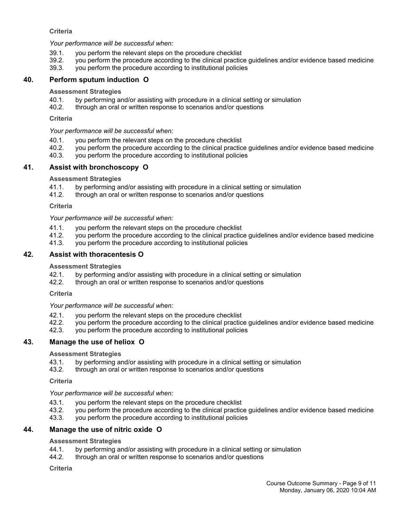## **Criteria**

*Your performance will be successful when:*

- 39.1. you perform the relevant steps on the procedure checklist
- 39.2. you perform the procedure according to the clinical practice guidelines and/or evidence based medicine
- 39.3. you perform the procedure according to institutional policies

## **40. Perform sputum induction O**

#### **Assessment Strategies**

- 40.1. by performing and/or assisting with procedure in a clinical setting or simulation
- 40.2. through an oral or written response to scenarios and/or questions

#### **Criteria**

*Your performance will be successful when:*

- 40.1. you perform the relevant steps on the procedure checklist
- 40.2. you perform the procedure according to the clinical practice guidelines and/or evidence based medicine
- 40.3. you perform the procedure according to institutional policies

## **41. Assist with bronchoscopy O**

#### **Assessment Strategies**

- 41.1. by performing and/or assisting with procedure in a clinical setting or simulation
- 41.2. through an oral or written response to scenarios and/or questions

#### **Criteria**

*Your performance will be successful when:*

- 41.1. you perform the relevant steps on the procedure checklist
- 41.2. you perform the procedure according to the clinical practice guidelines and/or evidence based medicine
- 41.3. you perform the procedure according to institutional policies

## **42. Assist with thoracentesis O**

#### **Assessment Strategies**

- 42.1. by performing and/or assisting with procedure in a clinical setting or simulation
- 42.2. through an oral or written response to scenarios and/or questions

#### **Criteria**

## *Your performance will be successful when:*

- 42.1. you perform the relevant steps on the procedure checklist
- 42.2. you perform the procedure according to the clinical practice guidelines and/or evidence based medicine<br>42.3. you perform the procedure according to institutional policies
- you perform the procedure according to institutional policies

## **43. Manage the use of heliox O**

#### **Assessment Strategies**

- 43.1. by performing and/or assisting with procedure in a clinical setting or simulation
- 43.2. through an oral or written response to scenarios and/or questions

#### **Criteria**

## *Your performance will be successful when:*

- 43.1. you perform the relevant steps on the procedure checklist
- 43.2. you perform the procedure according to the clinical practice guidelines and/or evidence based medicine
- 43.3. you perform the procedure according to institutional policies

## **44. Manage the use of nitric oxide O**

#### **Assessment Strategies**

- 44.1. by performing and/or assisting with procedure in a clinical setting or simulation
- 44.2. through an oral or written response to scenarios and/or questions

#### **Criteria**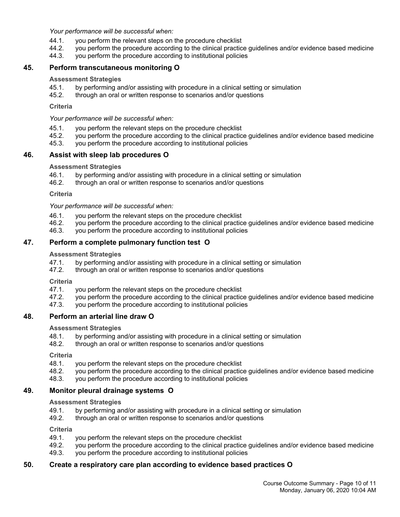*Your performance will be successful when:*

- 44.1. you perform the relevant steps on the procedure checklist
- 44.2. you perform the procedure according to the clinical practice guidelines and/or evidence based medicine
- 44.3. you perform the procedure according to institutional policies

## **45. Perform transcutaneous monitoring O**

#### **Assessment Strategies**

- 45.1. by performing and/or assisting with procedure in a clinical setting or simulation
- 45.2. through an oral or written response to scenarios and/or questions

**Criteria**

*Your performance will be successful when:*

- 45.1. you perform the relevant steps on the procedure checklist
- 45.2. you perform the procedure according to the clinical practice guidelines and/or evidence based medicine
- 45.3. you perform the procedure according to institutional policies

## **46. Assist with sleep lab procedures O**

#### **Assessment Strategies**

- 46.1. by performing and/or assisting with procedure in a clinical setting or simulation
- 46.2. through an oral or written response to scenarios and/or questions

**Criteria**

*Your performance will be successful when:*

- 46.1. you perform the relevant steps on the procedure checklist
- 46.2. you perform the procedure according to the clinical practice guidelines and/or evidence based medicine
- 46.3. you perform the procedure according to institutional policies

## **47. Perform a complete pulmonary function test O**

#### **Assessment Strategies**

- 47.1. by performing and/or assisting with procedure in a clinical setting or simulation
- 47.2. through an oral or written response to scenarios and/or questions

**Criteria**

- 47.1. you perform the relevant steps on the procedure checklist
- 47.2. you perform the procedure according to the clinical practice guidelines and/or evidence based medicine
- 47.3. you perform the procedure according to institutional policies

## **48. Perform an arterial line draw O**

**Assessment Strategies**

- 48.1. by performing and/or assisting with procedure in a clinical setting or simulation
- 48.2. through an oral or written response to scenarios and/or questions

**Criteria**

- 48.1. you perform the relevant steps on the procedure checklist
- 48.2. you perform the procedure according to the clinical practice guidelines and/or evidence based medicine
- 48.3. you perform the procedure according to institutional policies

## **49. Monitor pleural drainage systems O**

**Assessment Strategies**

- 49.1. by performing and/or assisting with procedure in a clinical setting or simulation
- 49.2. through an oral or written response to scenarios and/or questions

**Criteria**

- 49.1. you perform the relevant steps on the procedure checklist
- 49.2. you perform the procedure according to the clinical practice guidelines and/or evidence based medicine
- 49.3. you perform the procedure according to institutional policies

## **50. Create a respiratory care plan according to evidence based practices O**